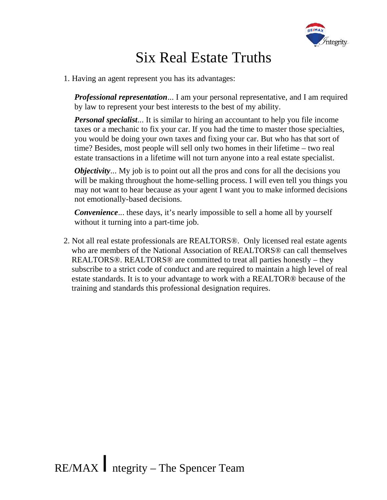

## Six Real Estate Truths

1. Having an agent represent you has its advantages:

*Professional representation*... I am your personal representative, and I am required by law to represent your best interests to the best of my ability.

*Personal specialist*... It is similar to hiring an accountant to help you file income taxes or a mechanic to fix your car. If you had the time to master those specialties, you would be doing your own taxes and fixing your car. But who has that sort of time? Besides, most people will sell only two homes in their lifetime – two real estate transactions in a lifetime will not turn anyone into a real estate specialist.

*Objectivity*... My job is to point out all the pros and cons for all the decisions you will be making throughout the home-selling process. I will even tell you things you may not want to hear because as your agent I want you to make informed decisions not emotionally-based decisions.

*Convenience*... these days, it's nearly impossible to sell a home all by yourself without it turning into a part-time job.

2. Not all real estate professionals are REALTORS®. Only licensed real estate agents who are members of the National Association of REALTORS® can call themselves REALTORS®. REALTORS® are committed to treat all parties honestly – they subscribe to a strict code of conduct and are required to maintain a high level of real estate standards. It is to your advantage to work with a REALTOR® because of the training and standards this professional designation requires.

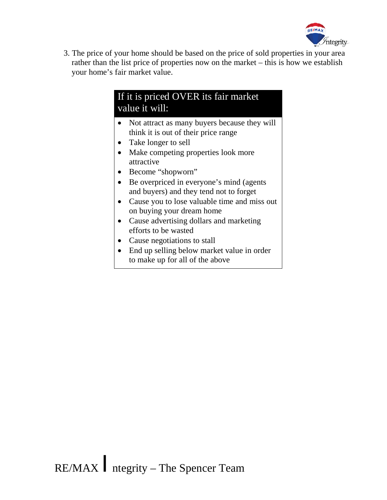

3. The price of your home should be based on the price of sold properties in your area rather than the list price of properties now on the market – this is how we establish your home's fair market value.

## If it is priced OVER its fair market value it will:

- Not attract as many buyers because they will think it is out of their price range
- Take longer to sell
- Make competing properties look more attractive
- Become "shopworn"
- Be overpriced in everyone's mind (agents) and buyers) and they tend not to forget
- Cause you to lose valuable time and miss out on buying your dream home
- Cause advertising dollars and marketing efforts to be wasted
- Cause negotiations to stall
- End up selling below market value in order to make up for all of the above

RE/MAX  $/$ ntegrity – The Spencer Team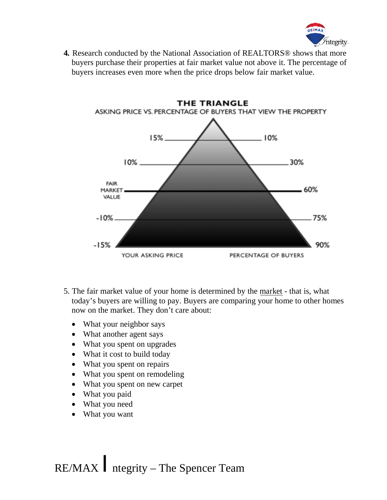

**4***.* Research conducted by the National Association of REALTORS® shows that more buyers purchase their properties at fair market value not above it. The percentage of buyers increases even more when the price drops below fair market value.



- 5. The fair market value of your home is determined by the market that is, what today's buyers are willing to pay. Buyers are comparing your home to other homes now on the market. They don't care about:
	- What your neighbor says
	- What another agent says
	- What you spent on upgrades
	- What it cost to build today
	- What you spent on repairs
	- What you spent on remodeling
	- What you spent on new carpet
	- What you paid
	- What you need
	- · What you want

RE/MAX *I*ntegrity – The Spencer Team